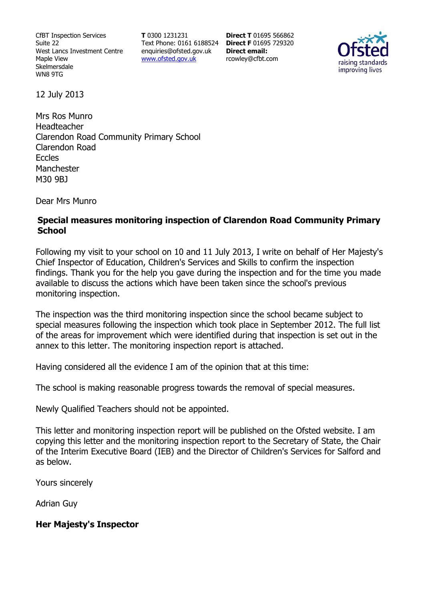CfBT Inspection Services Suite 22 West Lancs Investment Centre Maple View Skelmersdale WN8 9TG

**T** 0300 1231231 Text Phone: 0161 6188524 **Direct F** 01695 729320 enquiries@ofsted.gov.uk www.ofsted.gov.uk

**Direct T** 01695 566862 **Direct email:**  rcowley@cfbt.com



12 July 2013

Mrs Ros Munro Headteacher Clarendon Road Community Primary School Clarendon Road Eccles Manchester M30 9BJ

Dear Mrs Munro

#### **Special measures monitoring inspection of Clarendon Road Community Primary School**

Following my visit to your school on 10 and 11 July 2013, I write on behalf of Her Majesty's Chief Inspector of Education, Children's Services and Skills to confirm the inspection findings. Thank you for the help you gave during the inspection and for the time you made available to discuss the actions which have been taken since the school's previous monitoring inspection.

The inspection was the third monitoring inspection since the school became subject to special measures following the inspection which took place in September 2012. The full list of the areas for improvement which were identified during that inspection is set out in the annex to this letter. The monitoring inspection report is attached.

Having considered all the evidence I am of the opinion that at this time:

The school is making reasonable progress towards the removal of special measures.

Newly Qualified Teachers should not be appointed.

This letter and monitoring inspection report will be published on the Ofsted website. I am copying this letter and the monitoring inspection report to the Secretary of State, the Chair of the Interim Executive Board (IEB) and the Director of Children's Services for Salford and as below.

Yours sincerely

Adrian Guy

#### **Her Majesty's Inspector**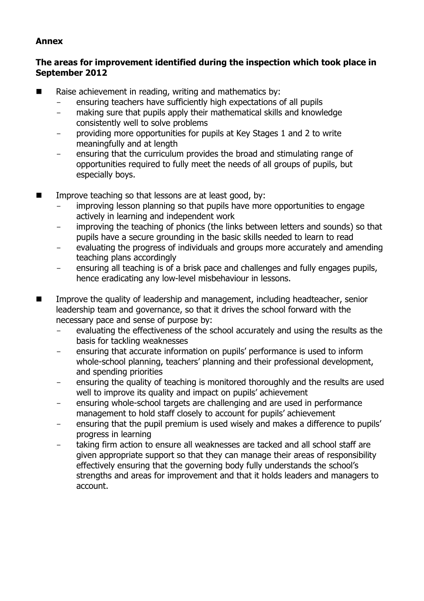#### **Annex**

#### **The areas for improvement identified during the inspection which took place in September 2012**

- Raise achievement in reading, writing and mathematics by:
	- ensuring teachers have sufficiently high expectations of all pupils
	- making sure that pupils apply their mathematical skills and knowledge consistently well to solve problems
	- providing more opportunities for pupils at Key Stages 1 and 2 to write meaningfully and at length
	- ensuring that the curriculum provides the broad and stimulating range of opportunities required to fully meet the needs of all groups of pupils, but especially boys.
- $\blacksquare$  Improve teaching so that lessons are at least good, by:
	- improving lesson planning so that pupils have more opportunities to engage actively in learning and independent work
	- improving the teaching of phonics (the links between letters and sounds) so that pupils have a secure grounding in the basic skills needed to learn to read
	- evaluating the progress of individuals and groups more accurately and amending teaching plans accordingly
	- ensuring all teaching is of a brisk pace and challenges and fully engages pupils, hence eradicating any low-level misbehaviour in lessons.
- Improve the quality of leadership and management, including headteacher, senior leadership team and governance, so that it drives the school forward with the necessary pace and sense of purpose by:
	- evaluating the effectiveness of the school accurately and using the results as the basis for tackling weaknesses
	- ensuring that accurate information on pupils' performance is used to inform whole-school planning, teachers' planning and their professional development, and spending priorities
	- ensuring the quality of teaching is monitored thoroughly and the results are used well to improve its quality and impact on pupils' achievement
	- ensuring whole-school targets are challenging and are used in performance management to hold staff closely to account for pupils' achievement
	- ensuring that the pupil premium is used wisely and makes a difference to pupils' progress in learning
	- taking firm action to ensure all weaknesses are tacked and all school staff are given appropriate support so that they can manage their areas of responsibility effectively ensuring that the governing body fully understands the school's strengths and areas for improvement and that it holds leaders and managers to account.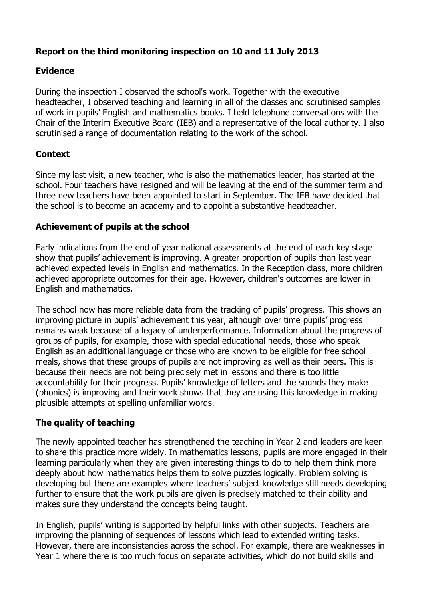# **Report on the third monitoring inspection on 10 and 11 July 2013**

## **Evidence**

During the inspection I observed the school's work. Together with the executive headteacher, I observed teaching and learning in all of the classes and scrutinised samples of work in pupils' English and mathematics books. I held telephone conversations with the Chair of the Interim Executive Board (IEB) and a representative of the local authority. I also scrutinised a range of documentation relating to the work of the school.

## **Context**

Since my last visit, a new teacher, who is also the mathematics leader, has started at the school. Four teachers have resigned and will be leaving at the end of the summer term and three new teachers have been appointed to start in September. The IEB have decided that the school is to become an academy and to appoint a substantive headteacher.

### **Achievement of pupils at the school**

Early indications from the end of year national assessments at the end of each key stage show that pupils' achievement is improving. A greater proportion of pupils than last year achieved expected levels in English and mathematics. In the Reception class, more children achieved appropriate outcomes for their age. However, children's outcomes are lower in English and mathematics.

The school now has more reliable data from the tracking of pupils' progress. This shows an improving picture in pupils' achievement this year, although over time pupils' progress remains weak because of a legacy of underperformance. Information about the progress of groups of pupils, for example, those with special educational needs, those who speak English as an additional language or those who are known to be eligible for free school meals, shows that these groups of pupils are not improving as well as their peers. This is because their needs are not being precisely met in lessons and there is too little accountability for their progress. Pupils' knowledge of letters and the sounds they make (phonics) is improving and their work shows that they are using this knowledge in making plausible attempts at spelling unfamiliar words.

## **The quality of teaching**

The newly appointed teacher has strengthened the teaching in Year 2 and leaders are keen to share this practice more widely. In mathematics lessons, pupils are more engaged in their learning particularly when they are given interesting things to do to help them think more deeply about how mathematics helps them to solve puzzles logically. Problem solving is developing but there are examples where teachers' subject knowledge still needs developing further to ensure that the work pupils are given is precisely matched to their ability and makes sure they understand the concepts being taught.

In English, pupils' writing is supported by helpful links with other subjects. Teachers are improving the planning of sequences of lessons which lead to extended writing tasks. However, there are inconsistencies across the school. For example, there are weaknesses in Year 1 where there is too much focus on separate activities, which do not build skills and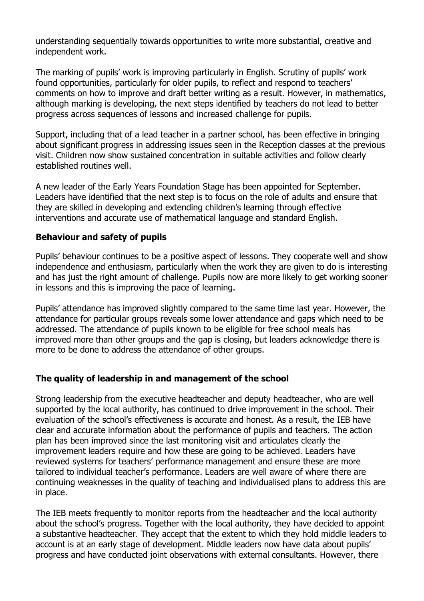understanding sequentially towards opportunities to write more substantial, creative and independent work.

The marking of pupils' work is improving particularly in English. Scrutiny of pupils' work found opportunities, particularly for older pupils, to reflect and respond to teachers' comments on how to improve and draft better writing as a result. However, in mathematics, although marking is developing, the next steps identified by teachers do not lead to better progress across sequences of lessons and increased challenge for pupils.

Support, including that of a lead teacher in a partner school, has been effective in bringing about significant progress in addressing issues seen in the Reception classes at the previous visit. Children now show sustained concentration in suitable activities and follow clearly established routines well.

A new leader of the Early Years Foundation Stage has been appointed for September. Leaders have identified that the next step is to focus on the role of adults and ensure that they are skilled in developing and extending children's learning through effective interventions and accurate use of mathematical language and standard English.

### **Behaviour and safety of pupils**

Pupils' behaviour continues to be a positive aspect of lessons. They cooperate well and show independence and enthusiasm, particularly when the work they are given to do is interesting and has just the right amount of challenge. Pupils now are more likely to get working sooner in lessons and this is improving the pace of learning.

Pupils' attendance has improved slightly compared to the same time last year. However, the attendance for particular groups reveals some lower attendance and gaps which need to be addressed. The attendance of pupils known to be eligible for free school meals has improved more than other groups and the gap is closing, but leaders acknowledge there is more to be done to address the attendance of other groups.

#### **The quality of leadership in and management of the school**

Strong leadership from the executive headteacher and deputy headteacher, who are well supported by the local authority, has continued to drive improvement in the school. Their evaluation of the school's effectiveness is accurate and honest. As a result, the IEB have clear and accurate information about the performance of pupils and teachers. The action plan has been improved since the last monitoring visit and articulates clearly the improvement leaders require and how these are going to be achieved. Leaders have reviewed systems for teachers' performance management and ensure these are more tailored to individual teacher's performance. Leaders are well aware of where there are continuing weaknesses in the quality of teaching and individualised plans to address this are in place.

The IEB meets frequently to monitor reports from the headteacher and the local authority about the school's progress. Together with the local authority, they have decided to appoint a substantive headteacher. They accept that the extent to which they hold middle leaders to account is at an early stage of development. Middle leaders now have data about pupils' progress and have conducted joint observations with external consultants. However, there